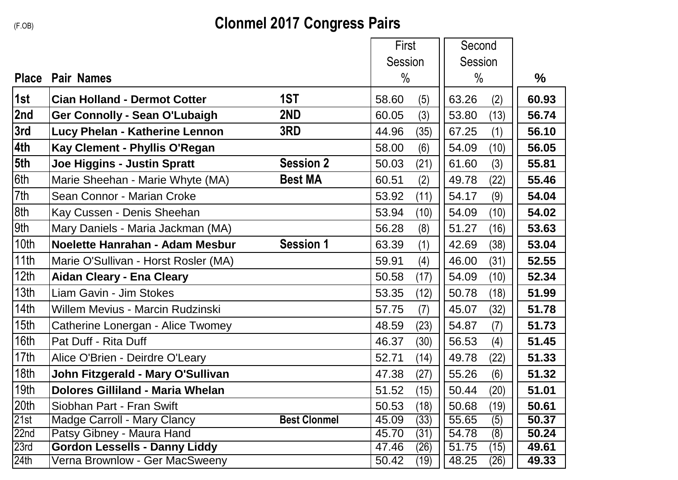## **Clonmel 2017 Congress Pairs**

|                  |                                         |                     | First          | Second        |       |
|------------------|-----------------------------------------|---------------------|----------------|---------------|-------|
|                  |                                         |                     | <b>Session</b> | Session       |       |
| <b>Place</b>     | <b>Pair Names</b>                       |                     | $\%$           | $\%$          | $\%$  |
| 1st              | <b>Cian Holland - Dermot Cotter</b>     | 1ST                 | (5)<br>58.60   | 63.26<br>(2)  | 60.93 |
| 2nd              | <b>Ger Connolly - Sean O'Lubaigh</b>    | 2ND                 | 60.05<br>(3)   | (13)<br>53.80 | 56.74 |
| 3rd              | Lucy Phelan - Katherine Lennon          | 3RD                 | 44.96<br>(35)  | 67.25<br>(1)  | 56.10 |
| 4th              | Kay Clement - Phyllis O'Regan           |                     | 58.00<br>(6)   | 54.09<br>(10) | 56.05 |
| 5th              | <b>Joe Higgins - Justin Spratt</b>      | <b>Session 2</b>    | 50.03<br>(21)  | 61.60<br>(3)  | 55.81 |
| 6th              | Marie Sheehan - Marie Whyte (MA)        | <b>Best MA</b>      | 60.51<br>(2)   | 49.78<br>(22) | 55.46 |
| 7th              | Sean Connor - Marian Croke              |                     | 53.92<br>(11)  | 54.17<br>(9)  | 54.04 |
| 8th              | Kay Cussen - Denis Sheehan              |                     | 53.94<br>(10)  | 54.09<br>(10) | 54.02 |
| 9th              | Mary Daniels - Maria Jackman (MA)       |                     | 56.28<br>(8)   | 51.27<br>(16) | 53.63 |
| 10th             | Noelette Hanrahan - Adam Mesbur         | <b>Session 1</b>    | 63.39<br>(1)   | 42.69<br>(38) | 53.04 |
| 11th             | Marie O'Sullivan - Horst Rosler (MA)    |                     | 59.91<br>(4)   | 46.00<br>(31) | 52.55 |
| 12th             | <b>Aidan Cleary - Ena Cleary</b>        |                     | 50.58<br>(17)  | 54.09<br>(10) | 52.34 |
| 13th             | Liam Gavin - Jim Stokes                 |                     | 53.35<br>(12)  | 50.78<br>(18) | 51.99 |
| 14th             | <b>Willem Mevius - Marcin Rudzinski</b> |                     | 57.75<br>(7)   | 45.07<br>(32) | 51.78 |
| 15th             | Catherine Lonergan - Alice Twomey       |                     | (23)<br>48.59  | 54.87<br>(7)  | 51.73 |
| 16th             | Pat Duff - Rita Duff                    |                     | 46.37<br>(30)  | 56.53<br>(4)  | 51.45 |
| 17th             | Alice O'Brien - Deirdre O'Leary         |                     | 52.71<br>(14)  | 49.78<br>(22) | 51.33 |
| 18th             | John Fitzgerald - Mary O'Sullivan       |                     | (27)<br>47.38  | 55.26<br>(6)  | 51.32 |
| 19th             | <b>Dolores Gilliland - Maria Whelan</b> |                     | 51.52<br>(15)  | 50.44<br>(20) | 51.01 |
| 20th             | Siobhan Part - Fran Swift               |                     | 50.53<br>(18)  | 50.68<br>(19) | 50.61 |
| 21st             | <b>Madge Carroll - Mary Clancy</b>      | <b>Best Clonmel</b> | (33)<br>45.09  | 55.65<br>(5)  | 50.37 |
| 22 <sub>nd</sub> | Patsy Gibney - Maura Hand               |                     | 45.70<br>(31)  | 54.78<br>(8)  | 50.24 |
| 23rd             | <b>Gordon Lessells - Danny Liddy</b>    |                     | (26)<br>47.46  | 51.75<br>(15) | 49.61 |
| 24th             | Verna Brownlow - Ger MacSweeny          |                     | 50.42<br>(19)  | 48.25<br>(26) | 49.33 |